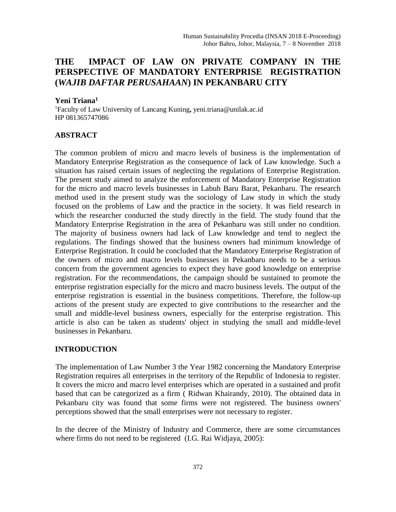# **THE IMPACT OF LAW ON PRIVATE COMPANY IN THE PERSPECTIVE OF MANDATORY ENTERPRISE REGISTRATION (***WAJIB DAFTAR PERUSAHAAN***) IN PEKANBARU CITY**

#### **Yeni Triana<sup>1</sup>**

<sup>1</sup>Faculty of Law University of Lancang Kuning**,** yeni.triana@unilak.ac.id HP 081365747086

### **ABSTRACT**

The common problem of micro and macro levels of business is the implementation of Mandatory Enterprise Registration as the consequence of lack of Law knowledge. Such a situation has raised certain issues of neglecting the regulations of Enterprise Registration. The present study aimed to analyze the enforcement of Mandatory Enterprise Registration for the micro and macro levels businesses in Labuh Baru Barat, Pekanbaru. The research method used in the present study was the sociology of Law study in which the study focused on the problems of Law and the practice in the society. It was field research in which the researcher conducted the study directly in the field. The study found that the Mandatory Enterprise Registration in the area of Pekanbaru was still under no condition. The majority of business owners had lack of Law knowledge and tend to neglect the regulations. The findings showed that the business owners had minimum knowledge of Enterprise Registration. It could be concluded that the Mandatory Enterprise Registration of the owners of micro and macro levels businesses in Pekanbaru needs to be a serious concern from the government agencies to expect they have good knowledge on enterprise registration. For the recommendations, the campaign should be sustained to promote the enterprise registration especially for the micro and macro business levels. The output of the enterprise registration is essential in the business competitions. Therefore, the follow-up actions of the present study are expected to give contributions to the researcher and the small and middle-level business owners, especially for the enterprise registration. This article is also can be taken as students' object in studying the small and middle-level businesses in Pekanbaru.

# **INTRODUCTION**

The implementation of Law Number 3 the Year 1982 concerning the Mandatory Enterprise Registration requires all enterprises in the territory of the Republic of Indonesia to register. It covers the micro and macro level enterprises which are operated in a sustained and profit based that can be categorized as a firm ( Ridwan Khairandy, 2010). The obtained data in Pekanbaru city was found that some firms were not registered. The business owners' perceptions showed that the small enterprises were not necessary to register.

In the decree of the Ministry of Industry and Commerce, there are some circumstances where firms do not need to be registered (I.G. Rai Widjaya, 2005):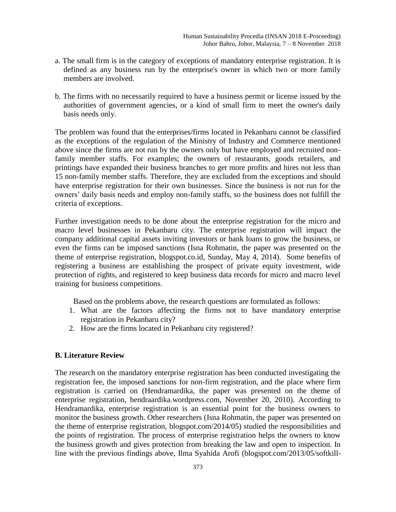- a. The small firm is in the category of exceptions of mandatory enterprise registration. It is defined as any business run by the enterprise's owner in which two or more family members are involved.
- b. The firms with no necessarily required to have a business permit or license issued by the authorities of government agencies, or a kind of small firm to meet the owner's daily basis needs only.

The problem was found that the enterprises/firms located in Pekanbaru cannot be classified as the exceptions of the regulation of the Ministry of Industry and Commerce mentioned above since the firms are not run by the owners only but have employed and recruited nonfamily member staffs. For examples; the owners of restaurants, goods retailers, and printings have expanded their business branches to get more profits and hires not less than 15 non-family member staffs. Therefore, they are excluded from the exceptions and should have enterprise registration for their own businesses. Since the business is not run for the owners' daily basis needs and employ non-family staffs, so the business does not fulfill the criteria of exceptions.

Further investigation needs to be done about the enterprise registration for the micro and macro level businesses in Pekanbaru city. The enterprise registration will impact the company additional capital assets inviting investors or bank loans to grow the business, or even the firms can be imposed sanctions (Isna Rohmatin, the paper was presented on the theme of enterprise registration, blogspot.co.id, Sunday, May 4, 2014). Some benefits of registering a business are establishing the prospect of private equity investment, wide protection of rights, and registered to keep business data records for micro and macro level training for business competitions.

Based on the problems above, the research questions are formulated as follows:

- 1. What are the factors affecting the firms not to have mandatory enterprise registration in Pekanbaru city?
- 2. How are the firms located in Pekanbaru city registered?

#### **B. Literature Review**

The research on the mandatory enterprise registration has been conducted investigating the registration fee, the imposed sanctions for non-firm registration, and the place where firm registration is carried on (Hendramardika, the paper was presented on the theme of enterprise registration, hendraardika.wordpress.com, November 20, 2010). According to Hendramardika, enterprise registration is an essential point for the business owners to monitor the business growth. Other researchers (Isna Rohmatin, the paper was presented on the theme of enterprise registration, blogspot.com/2014/05) studied the responsibilities and the points of registration. The process of enterprise registration helps the owners to know the business growth and gives protection from breaking the law and open to inspection. In line with the previous findings above, Ilma Syahida Arofi (blogspot.com/2013/05/softkill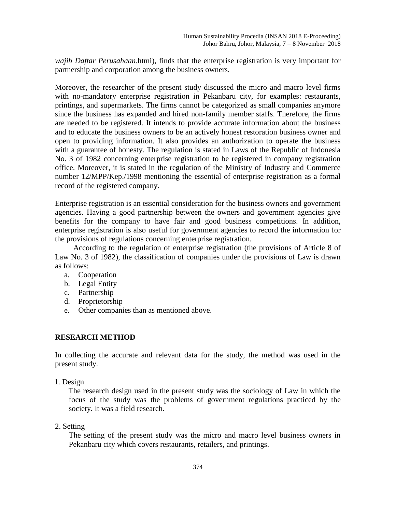*wajib Daftar Perusahaan*.htmi), finds that the enterprise registration is very important for partnership and corporation among the business owners.

Moreover, the researcher of the present study discussed the micro and macro level firms with no-mandatory enterprise registration in Pekanbaru city, for examples: restaurants, printings, and supermarkets. The firms cannot be categorized as small companies anymore since the business has expanded and hired non-family member staffs. Therefore, the firms are needed to be registered. It intends to provide accurate information about the business and to educate the business owners to be an actively honest restoration business owner and open to providing information. It also provides an authorization to operate the business with a guarantee of honesty. The regulation is stated in Laws of the Republic of Indonesia No. 3 of 1982 concerning enterprise registration to be registered in company registration office. Moreover, it is stated in the regulation of the Ministry of Industry and Commerce number 12/MPP/Kep./1998 mentioning the essential of enterprise registration as a formal record of the registered company.

Enterprise registration is an essential consideration for the business owners and government agencies. Having a good partnership between the owners and government agencies give benefits for the company to have fair and good business competitions. In addition, enterprise registration is also useful for government agencies to record the information for the provisions of regulations concerning enterprise registration.

According to the regulation of enterprise registration (the provisions of Article 8 of Law No. 3 of 1982), the classification of companies under the provisions of Law is drawn as follows:

- a. Cooperation
- b. Legal Entity
- c. Partnership
- d. Proprietorship
- e. Other companies than as mentioned above.

### **RESEARCH METHOD**

In collecting the accurate and relevant data for the study, the method was used in the present study.

1. Design

The research design used in the present study was the sociology of Law in which the focus of the study was the problems of government regulations practiced by the society. It was a field research.

2. Setting

The setting of the present study was the micro and macro level business owners in Pekanbaru city which covers restaurants, retailers, and printings.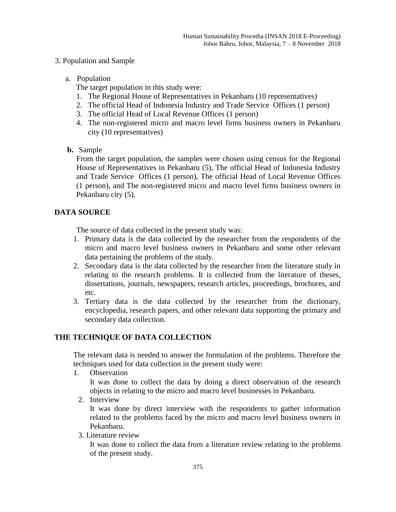### 3. Population and Sample

a. Population

The target population in this study were:

- 1. The Regional House of Representatives in Pekanbaru (10 representatives)
- 2. The official Head of Indonesia Industry and Trade Service Offices (1 person)
- 3. The official Head of Local Revenue Offices (1 person)
- 4. The non-registered micro and macro level firms business owners in Pekanbaru city (10 representatives)
- **b.** Sample

From the target population, the samples were chosen using census for the Regional House of Representatives in Pekanbaru (5), The official Head of Indonesia Industry and Trade Service Offices (1 person), The official Head of Local Revenue Offices (1 person), and The non-registered micro and macro level firms business owners in Pekanbaru city (5).

# **DATA SOURCE**

The source of data collected in the present study was:

- 1. Primary data is the data collected by the researcher from the respondents of the micro and macro level business owners in Pekanbaru and some other relevant data pertaining the problems of the study.
- 2. Secondary data is the data collected by the researcher from the literature study in relating to the research problems. It is collected from the literature of theses, dissertations, journals, newspapers, research articles, proceedings, brochures, and etc.
- 3. Tertiary data is the data collected by the researcher from the dictionary, encyclopedia, research papers, and other relevant data supporting the primary and secondary data collection.

# **THE TECHNIQUE OF DATA COLLECTION**

The relevant data is needed to answer the formulation of the problems. Therefore the techniques used for data collection in the present study were:

1. Observation

It was done to collect the data by doing a direct observation of the research objects in relating to the micro and macro level businesses in Pekanbaru.

2. Interview

It was done by direct interview with the respondents to gather information related to the problems faced by the micro and macro level business owners in Pekanbaru.

3. Literature review

It was done to collect the data from a literature review relating to the problems of the present study.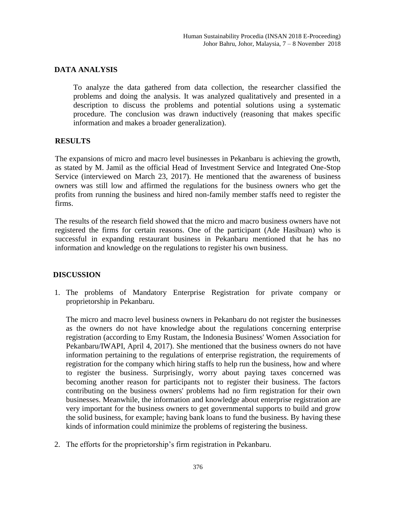### **DATA ANALYSIS**

To analyze the data gathered from data collection, the researcher classified the problems and doing the analysis. It was analyzed qualitatively and presented in a description to discuss the problems and potential solutions using a systematic procedure. The conclusion was drawn inductively (reasoning that makes specific information and makes a broader generalization).

### **RESULTS**

The expansions of micro and macro level businesses in Pekanbaru is achieving the growth, as stated by M. Jamil as the official Head of Investment Service and Integrated One-Stop Service (interviewed on March 23, 2017). He mentioned that the awareness of business owners was still low and affirmed the regulations for the business owners who get the profits from running the business and hired non-family member staffs need to register the firms.

The results of the research field showed that the micro and macro business owners have not registered the firms for certain reasons. One of the participant (Ade Hasibuan) who is successful in expanding restaurant business in Pekanbaru mentioned that he has no information and knowledge on the regulations to register his own business.

### **DISCUSSION**

1. The problems of Mandatory Enterprise Registration for private company or proprietorship in Pekanbaru.

The micro and macro level business owners in Pekanbaru do not register the businesses as the owners do not have knowledge about the regulations concerning enterprise registration (according to Emy Rustam, the Indonesia Business' Women Association for Pekanbaru/IWAPI, April 4, 2017). She mentioned that the business owners do not have information pertaining to the regulations of enterprise registration, the requirements of registration for the company which hiring staffs to help run the business, how and where to register the business. Surprisingly, worry about paying taxes concerned was becoming another reason for participants not to register their business. The factors contributing on the business owners' problems had no firm registration for their own businesses. Meanwhile, the information and knowledge about enterprise registration are very important for the business owners to get governmental supports to build and grow the solid business, for example; having bank loans to fund the business. By having these kinds of information could minimize the problems of registering the business.

2. The efforts for the proprietorship's firm registration in Pekanbaru.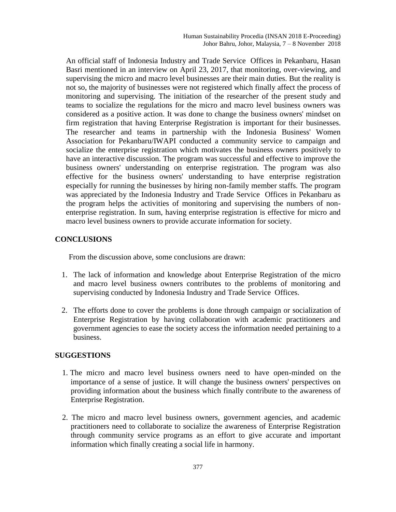An official staff of Indonesia Industry and Trade Service Offices in Pekanbaru, Hasan Basri mentioned in an interview on April 23, 2017, that monitoring, over-viewing, and supervising the micro and macro level businesses are their main duties. But the reality is not so, the majority of businesses were not registered which finally affect the process of monitoring and supervising. The initiation of the researcher of the present study and teams to socialize the regulations for the micro and macro level business owners was considered as a positive action. It was done to change the business owners' mindset on firm registration that having Enterprise Registration is important for their businesses. The researcher and teams in partnership with the Indonesia Business' Women Association for Pekanbaru/IWAPI conducted a community service to campaign and socialize the enterprise registration which motivates the business owners positively to have an interactive discussion. The program was successful and effective to improve the business owners' understanding on enterprise registration. The program was also effective for the business owners' understanding to have enterprise registration especially for running the businesses by hiring non-family member staffs. The program was appreciated by the Indonesia Industry and Trade Service Offices in Pekanbaru as the program helps the activities of monitoring and supervising the numbers of nonenterprise registration. In sum, having enterprise registration is effective for micro and macro level business owners to provide accurate information for society.

### **CONCLUSIONS**

From the discussion above, some conclusions are drawn:

- 1. The lack of information and knowledge about Enterprise Registration of the micro and macro level business owners contributes to the problems of monitoring and supervising conducted by Indonesia Industry and Trade Service Offices.
- 2. The efforts done to cover the problems is done through campaign or socialization of Enterprise Registration by having collaboration with academic practitioners and government agencies to ease the society access the information needed pertaining to a business.

### **SUGGESTIONS**

- 1. The micro and macro level business owners need to have open-minded on the importance of a sense of justice. It will change the business owners' perspectives on providing information about the business which finally contribute to the awareness of Enterprise Registration.
- 2. The micro and macro level business owners, government agencies, and academic practitioners need to collaborate to socialize the awareness of Enterprise Registration through community service programs as an effort to give accurate and important information which finally creating a social life in harmony.